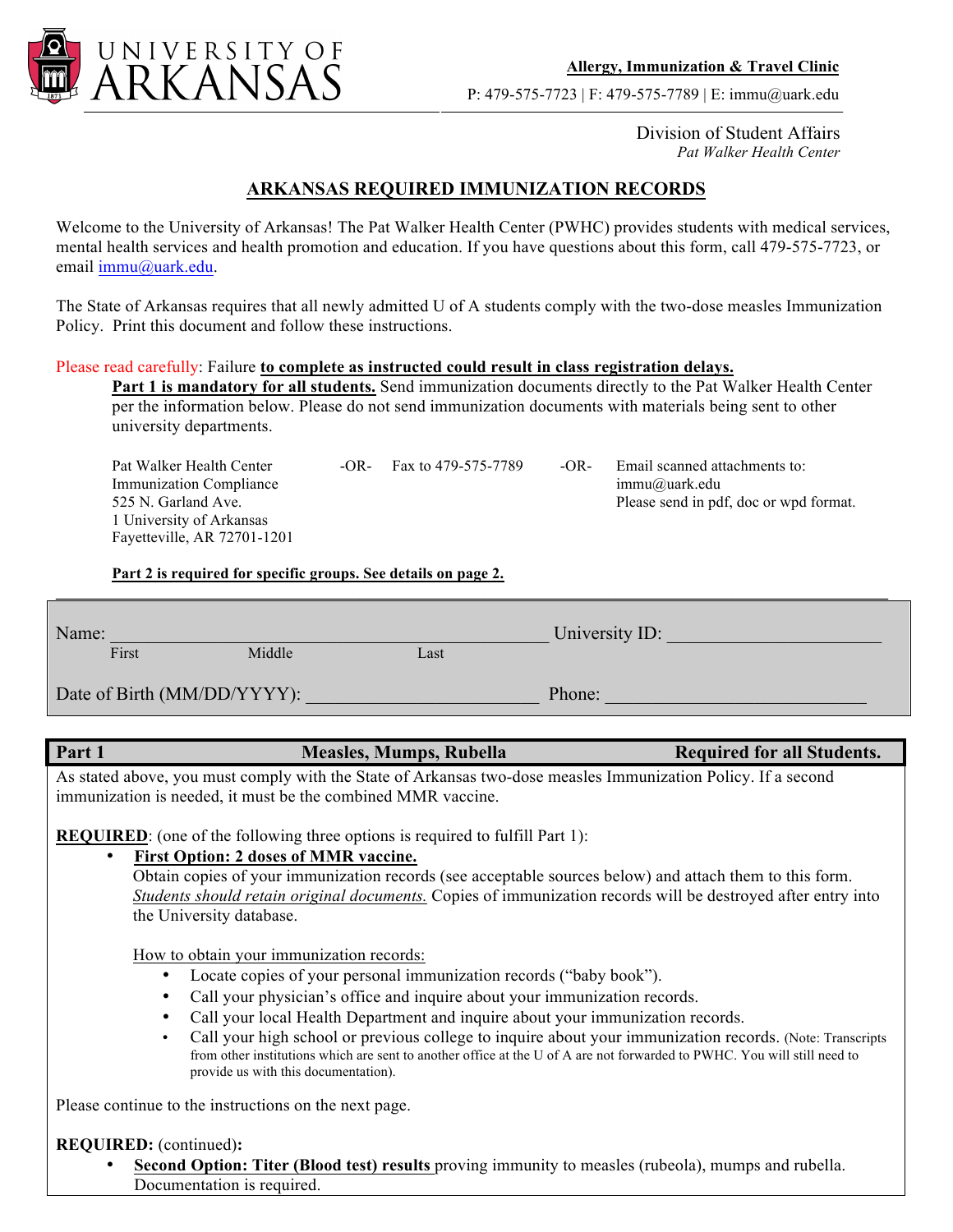

Division of Student Affairs *Pat Walker Health Center*

## **ARKANSAS REQUIRED IMMUNIZATION RECORDS**

Welcome to the University of Arkansas! The Pat Walker Health Center (PWHC) provides students with medical services, mental health services and health promotion and education. If you have questions about this form, call 479-575-7723, or email immu@uark.edu.

The State of Arkansas requires that all newly admitted U of A students comply with the two-dose measles Immunization Policy. Print this document and follow these instructions.

## Please read carefully: Failure **to complete as instructed could result in class registration delays.**

Part 1 is mandatory for all students. Send immunization documents directly to the Pat Walker Health Center per the information below. Please do not send immunization documents with materials being sent to other university departments.

Pat Walker Health Center -OR- Fax to 479-575-7789 -OR- Email scanned attachments to: Immunization Compliance immu $@$ uark.edu 525 N. Garland Ave. Please send in pdf, doc or wpd format. 1 University of Arkansas Fayetteville, AR 72701-1201

**Part 2 is required for specific groups. See details on page 2.** 

| First<br>Middle<br>Last<br>Phone: | Name: |  |  |  | University ID: |
|-----------------------------------|-------|--|--|--|----------------|
| Date of Birth (MM/DD/YYYY):       |       |  |  |  |                |
|                                   |       |  |  |  |                |

 $\mathcal{L} = \{ \mathcal{L} \mathcal{L} \mathcal{L} \mathcal{L} \mathcal{L} \mathcal{L} \mathcal{L} \mathcal{L} \mathcal{L} \mathcal{L} \mathcal{L} \mathcal{L} \mathcal{L} \mathcal{L} \mathcal{L} \mathcal{L} \mathcal{L} \mathcal{L} \mathcal{L} \mathcal{L} \mathcal{L} \mathcal{L} \mathcal{L} \mathcal{L} \mathcal{L} \mathcal{L} \mathcal{L} \mathcal{L} \mathcal{L} \mathcal{L} \mathcal{L} \mathcal{L} \mathcal{L} \mathcal{L} \mathcal{L} \$ 

## Part 1 **Measles, Mumps, Rubella** Required for all Students.

As stated above, you must comply with the State of Arkansas two-dose measles Immunization Policy. If a second immunization is needed, it must be the combined MMR vaccine.

**REQUIRED**: (one of the following three options is required to fulfill Part 1):

## • **First Option: 2 doses of MMR vaccine.**

 Obtain copies of your immunization records (see acceptable sources below) and attach them to this form. *Students should retain original documents.* Copies of immunization records will be destroyed after entry into the University database.

How to obtain your immunization records:

- Locate copies of your personal immunization records ("baby book").
- Call your physician's office and inquire about your immunization records.
- Call your local Health Department and inquire about your immunization records.
- Call your high school or previous college to inquire about your immunization records. (Note: Transcripts from other institutions which are sent to another office at the U of A are not forwarded to PWHC. You will still need to provide us with this documentation).

Please continue to the instructions on the next page.

**REQUIRED:** (continued)**:**

• **Second Option: Titer (Blood test) results** proving immunity to measles (rubeola), mumps and rubella. Documentation is required.